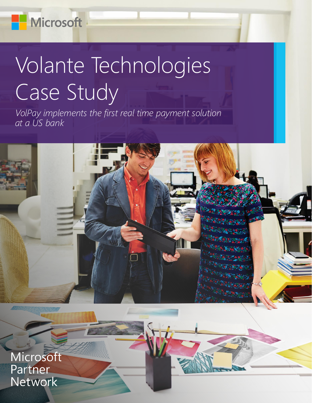**Microsoft** 

# Volante Technologies Case Study

*VolPay implements the first real time payment solution at a US bank*



Microsoft Partner Network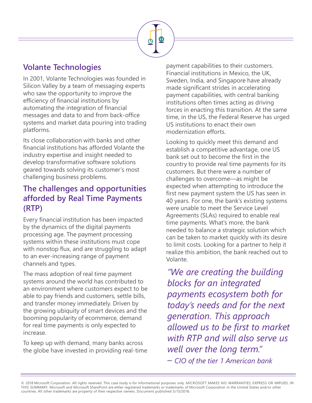

### **Volante Technologies**

In 2001, Volante Technologies was founded in Silicon Valley by a team of messaging experts who saw the opportunity to improve the efficiency of financial institutions by automating the integration of financial messages and data to and from back-office systems and market data pouring into trading platforms.

Its close collaboration with banks and other financial institutions has afforded Volante the industry expertise and insight needed to develop transformative software solutions geared towards solving its customer's most challenging business problems.

#### **The challenges and opportunities afforded by Real Time Payments (RTP)**

Every financial institution has been impacted by the dynamics of the digital payments processing age. The payment processing systems within these institutions must cope with nonstop flux, and are struggling to adapt to an ever-increasing range of payment channels and types.

The mass adoption of real time payment systems around the world has contributed to an environment where customers expect to be able to pay friends and customers, settle bills, and transfer money immediately. Driven by the growing ubiquity of smart devices and the booming popularity of ecommerce, demand for real time payments is only expected to increase.

To keep up with demand, many banks across the globe have invested in providing real-time payment capabilities to their customers. Financial institutions in Mexico, the UK, Sweden, India, and Singapore have already made significant strides in accelerating payment capabilities, with central banking institutions often times acting as driving forces in enacting this transition. At the same time, in the US, the Federal Reserve has urged US institutions to enact their own modernization efforts.

Looking to quickly meet this demand and establish a competitive advantage, one US bank set out to become the first in the country to provide real time payments for its customers. But there were a number of challenges to overcome—as might be expected when attempting to introduce the first new payment system the US has seen in 40 years. For one, the bank's existing systems were unable to meet the Service Level Agreements (SLAs) required to enable real time payments. What's more, the bank needed to balance a strategic solution which can be taken to market quickly with its desire to limit costs. Looking for a partner to help it realize this ambition, the bank reached out to Volante.

*"We are creating the building blocks for an integrated payments ecosystem both for today's needs and for the next generation. This approach allowed us to be first to market with RTP and will also serve us well over the long term." – CIO of the tier 1 American bank*

© 2018 Microsoft Corporation. All rights reserved. This case study is for informational purposes only. MICROSOFT MAKES NO WARRANTIES, EXPRESS OR IMPLIED, IN THIS SUMMARY. Microsoft and Microsoft SharePoint are either registered trademarks or trademarks of Microsoft Corporation in the United States and/or other countries. All other trademarks are property of their respective owners. Document published 5/15/2018.